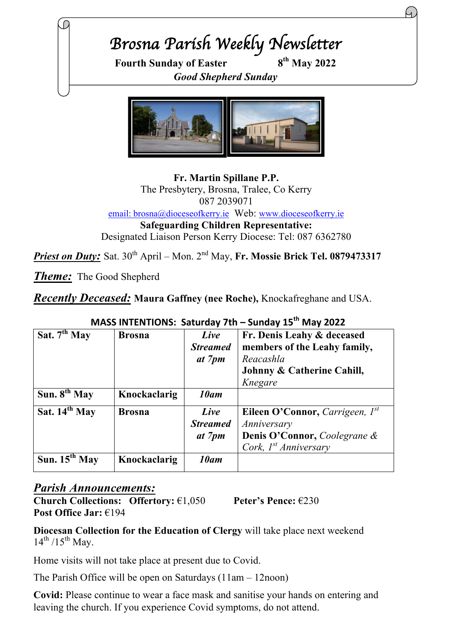# *Brosna Parish Weekly Newsletter*

**Fourth Sunday of Easter 8th May 2022** *Good Shepherd Sunday*



**Fr. Martin Spillane P.P.** The Presbytery, Brosna, Tralee, Co Kerry 087 2039071 email: brosna@dioceseofkerry.ie Web: www.dioceseofkerry.ie **Safeguarding Children Representative:** Designated Liaison Person Kerry Diocese: Tel: 087 6362780

*Priest on Duty:* Sat. 30<sup>th</sup> April – Mon. 2<sup>nd</sup> May, Fr. Mossie Brick Tel. 0879473317

*Theme:* The Good Shepherd

*Recently Deceased:* **Maura Gaffney (nee Roche),** Knockafreghane and USA.

| <u> Juliuu I - Jilliu I - Jee</u> |               |                                   |                                                                         |
|-----------------------------------|---------------|-----------------------------------|-------------------------------------------------------------------------|
| Sat. $7th$ May                    | <b>Brosna</b> | Live<br><b>Streamed</b><br>at 7pm | Fr. Denis Leahy & deceased<br>members of the Leahy family,<br>Reacashla |
|                                   |               |                                   | Johnny & Catherine Cahill,                                              |
|                                   |               |                                   | Knegare                                                                 |
| Sun. $8^{th}$ May                 | Knockaclarig  | 10am                              |                                                                         |
| Sat. $14^{th}$ May                | <b>Brosna</b> | Live                              | Eileen O'Connor, Carrigeen, $I^{st}$                                    |
|                                   |               | <b>Streamed</b>                   | Anniversary                                                             |
|                                   |               | at 7pm                            | <b>Denis O'Connor, Coolegrane &amp;</b>                                 |
|                                   |               |                                   | Cork, $I^{st}$ Anniversary                                              |
| Sun. $15^{th}$ May                | Knockaclarig  | 10am                              |                                                                         |

# **MASS INTENTIONS: Saturday 7th – Sunday 15th May 2022**

#### *Parish Announcements:*

**Church Collections: Offertory:** €1,050 **Peter's Pence:** €230 **Post Office Jar:** €194

**Diocesan Collection for the Education of Clergy** will take place next weekend  $14^{th}$  /15<sup>th</sup> May.

Home visits will not take place at present due to Covid.

The Parish Office will be open on Saturdays (11am – 12noon)

**Covid:** Please continue to wear a face mask and sanitise your hands on entering and leaving the church. If you experience Covid symptoms, do not attend.